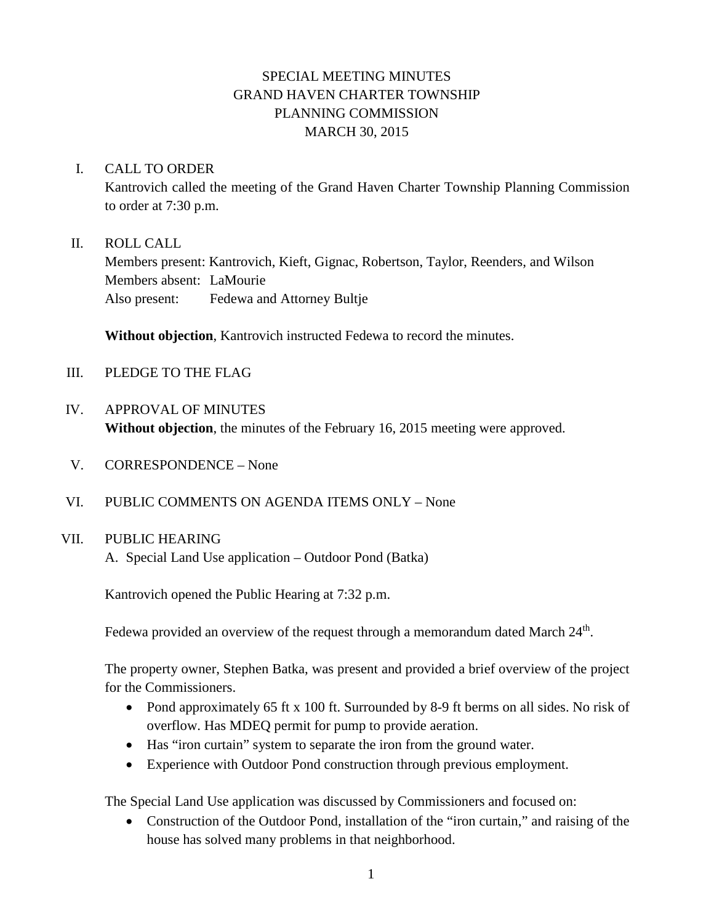# SPECIAL MEETING MINUTES GRAND HAVEN CHARTER TOWNSHIP PLANNING COMMISSION MARCH 30, 2015

### I. CALL TO ORDER

Kantrovich called the meeting of the Grand Haven Charter Township Planning Commission to order at 7:30 p.m.

### II. ROLL CALL

Members present: Kantrovich, Kieft, Gignac, Robertson, Taylor, Reenders, and Wilson Members absent: LaMourie Also present: Fedewa and Attorney Bultje

**Without objection**, Kantrovich instructed Fedewa to record the minutes.

- III. PLEDGE TO THE FLAG
- IV. APPROVAL OF MINUTES **Without objection**, the minutes of the February 16, 2015 meeting were approved.
- V. CORRESPONDENCE None
- VI. PUBLIC COMMENTS ON AGENDA ITEMS ONLY None

## VII. PUBLIC HEARING

A. Special Land Use application – Outdoor Pond (Batka)

Kantrovich opened the Public Hearing at 7:32 p.m.

Fedewa provided an overview of the request through a memorandum dated March 24<sup>th</sup>.

The property owner, Stephen Batka, was present and provided a brief overview of the project for the Commissioners.

- Pond approximately 65 ft x 100 ft. Surrounded by 8-9 ft berms on all sides. No risk of overflow. Has MDEQ permit for pump to provide aeration.
- Has "iron curtain" system to separate the iron from the ground water.
- Experience with Outdoor Pond construction through previous employment.

The Special Land Use application was discussed by Commissioners and focused on:

• Construction of the Outdoor Pond, installation of the "iron curtain," and raising of the house has solved many problems in that neighborhood.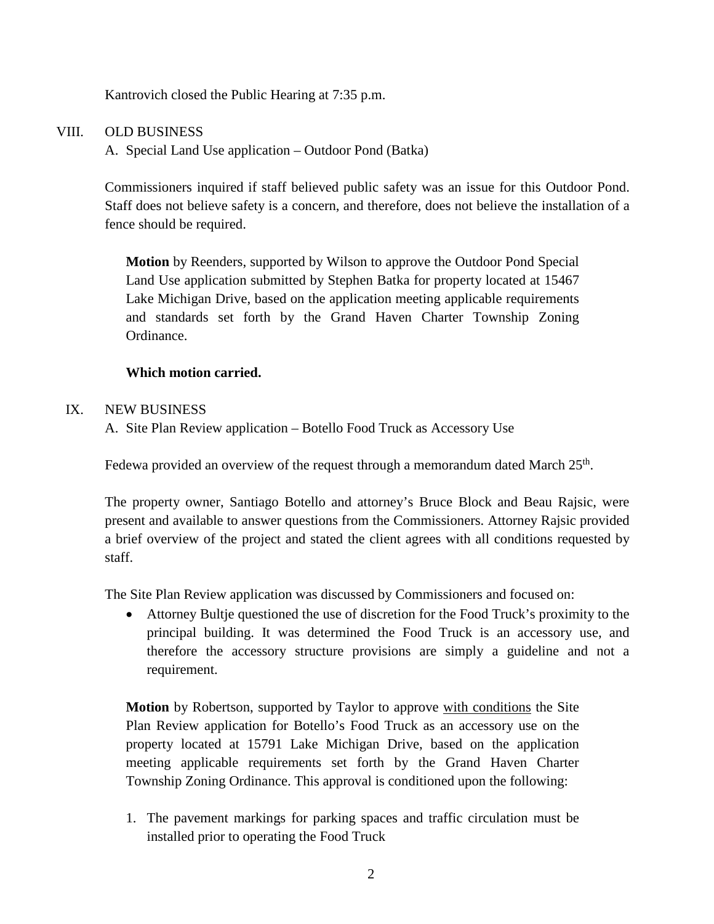Kantrovich closed the Public Hearing at 7:35 p.m.

## VIII. OLD BUSINESS

A. Special Land Use application – Outdoor Pond (Batka)

Commissioners inquired if staff believed public safety was an issue for this Outdoor Pond. Staff does not believe safety is a concern, and therefore, does not believe the installation of a fence should be required.

**Motion** by Reenders, supported by Wilson to approve the Outdoor Pond Special Land Use application submitted by Stephen Batka for property located at 15467 Lake Michigan Drive, based on the application meeting applicable requirements and standards set forth by the Grand Haven Charter Township Zoning Ordinance.

#### **Which motion carried.**

#### IX. NEW BUSINESS

A. Site Plan Review application – Botello Food Truck as Accessory Use

Fedewa provided an overview of the request through a memorandum dated March  $25<sup>th</sup>$ .

The property owner, Santiago Botello and attorney's Bruce Block and Beau Rajsic, were present and available to answer questions from the Commissioners. Attorney Rajsic provided a brief overview of the project and stated the client agrees with all conditions requested by staff.

The Site Plan Review application was discussed by Commissioners and focused on:

• Attorney Bultje questioned the use of discretion for the Food Truck's proximity to the principal building. It was determined the Food Truck is an accessory use, and therefore the accessory structure provisions are simply a guideline and not a requirement.

**Motion** by Robertson, supported by Taylor to approve with conditions the Site Plan Review application for Botello's Food Truck as an accessory use on the property located at 15791 Lake Michigan Drive, based on the application meeting applicable requirements set forth by the Grand Haven Charter Township Zoning Ordinance. This approval is conditioned upon the following:

1. The pavement markings for parking spaces and traffic circulation must be installed prior to operating the Food Truck